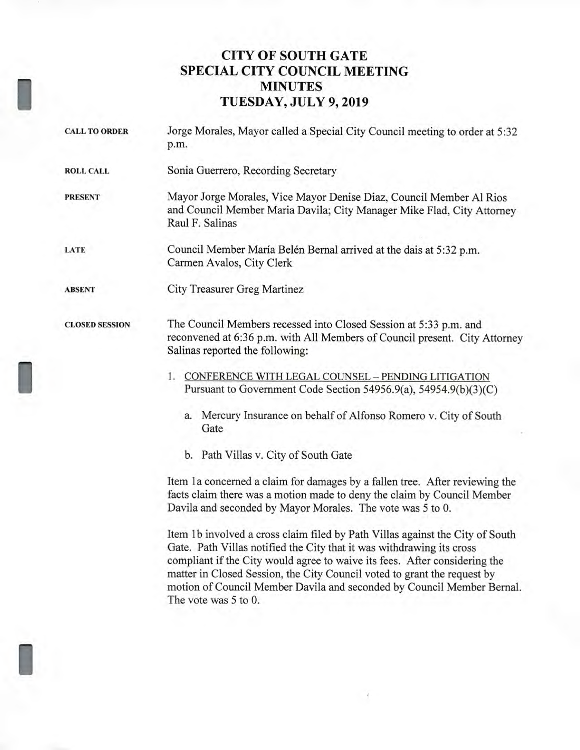## **CITY OF SOUTH GATE SPECIAL CITY COUNCIL MEETING MINUTES TUESDAY, JULY 9, 2019**

| <b>CALL TO ORDER</b>  | Jorge Morales, Mayor called a Special City Council meeting to order at 5:32<br>p.m.                                                                                                                                                                                                                            |
|-----------------------|----------------------------------------------------------------------------------------------------------------------------------------------------------------------------------------------------------------------------------------------------------------------------------------------------------------|
| <b>ROLL CALL</b>      | Sonia Guerrero, Recording Secretary                                                                                                                                                                                                                                                                            |
| <b>PRESENT</b>        | Mayor Jorge Morales, Vice Mayor Denise Diaz, Council Member Al Rios<br>and Council Member Maria Davila; City Manager Mike Flad, City Attorney<br>Raul F. Salinas                                                                                                                                               |
| LATE                  | Council Member María Belén Bernal arrived at the dais at 5:32 p.m.<br>Carmen Avalos, City Clerk                                                                                                                                                                                                                |
| <b>ABSENT</b>         | City Treasurer Greg Martinez                                                                                                                                                                                                                                                                                   |
| <b>CLOSED SESSION</b> | The Council Members recessed into Closed Session at 5:33 p.m. and<br>reconvened at 6:36 p.m. with All Members of Council present. City Attorney<br>Salinas reported the following:                                                                                                                             |
|                       | 1. CONFERENCE WITH LEGAL COUNSEL - PENDING LITIGATION<br>Pursuant to Government Code Section 54956.9(a), 54954.9(b)(3)(C)<br>Mercury Insurance on behalf of Alfonso Romero v. City of South<br>a.                                                                                                              |
|                       | Gate                                                                                                                                                                                                                                                                                                           |
|                       | b. Path Villas v. City of South Gate                                                                                                                                                                                                                                                                           |
|                       | Item 1a concerned a claim for damages by a fallen tree. After reviewing the<br>facts claim there was a motion made to deny the claim by Council Member<br>Davila and seconded by Mayor Morales. The vote was 5 to 0.                                                                                           |
|                       | Item 1b involved a cross claim filed by Path Villas against the City of South<br>Gate. Path Villas notified the City that it was withdrawing its cross<br>compliant if the City would agree to waive its fees. After considering the<br>motton in Classed Coopion the City Council voted to growt the names by |

matter in Closed Session, the City Council voted to grant the request by motion of Council Member Davila and seconded by Council Member Bernal. The vote was 5 to 0.

1